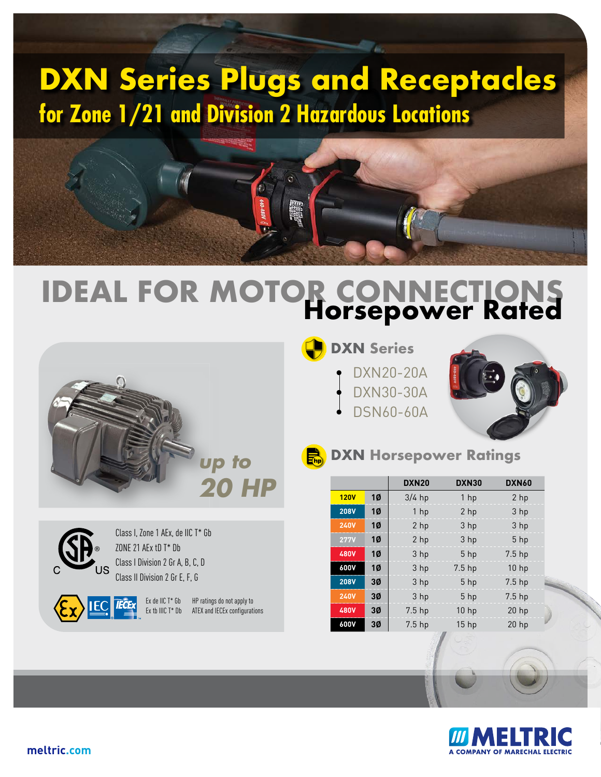## **DXN Series Plugs and Receptacles for Zone 1/21 and Division 2 Hazardous Locations**



# **IDEAL FOR MOTOR CONNECTIONS Horsepower Rated**



### **DXN Series**

- DXN20-20A
- DXN30-30A
- DSN60-60A





Class I, Zone 1 AEx, de IIC T\* Gb ZONE 21 AEx tD T\* Db Class I Division 2 Gr A, B, C, D Class II Division 2 Gr E, F, G

Ex de IIC T\* Gb HP ratings do not apply to Ex tb IIIC T\* Db ATEX and IECEx configurations

#### **EN** DXN Horsepower Ratings

|             |           | DXN <sub>20</sub> | DXN30             | DXN60             |
|-------------|-----------|-------------------|-------------------|-------------------|
| <b>120V</b> | 1Ø        | $3/4$ hp          | 1 <sub>hp</sub>   | 2 <sub>hp</sub>   |
| <b>208V</b> | 10        | 1 <sub>hp</sub>   | 2 <sub>hp</sub>   | 3 hp              |
| <b>240V</b> | <b>1Ø</b> | 2 hp              | 3 <sub>hp</sub>   | 3 hp              |
| <b>277V</b> | 10        | 2 <sub>hp</sub>   | 3 <sub>hp</sub>   | $5$ hp            |
| <b>480V</b> | 10        | 3 hp              | $5$ hp            | 7.5 <sub>hp</sub> |
| 600V        | 10        | 3 hp              | 7.5 <sub>hp</sub> | 10 <sub>hp</sub>  |
| <b>208V</b> | 3Ø        | 3 hp              | $5$ hp            | 7.5 <sub>hp</sub> |
| <b>240V</b> | 3Ø        | 3 hp              | $5$ hp            | 7.5 <sub>hp</sub> |
| 480V        | 3Ø        | $7.5$ hp          | 10 <sub>hp</sub>  | $20$ hp           |
| 600V        | 3Ø        | 7.5 <sub>hp</sub> | 15 <sub>hp</sub>  | $20$ hp           |